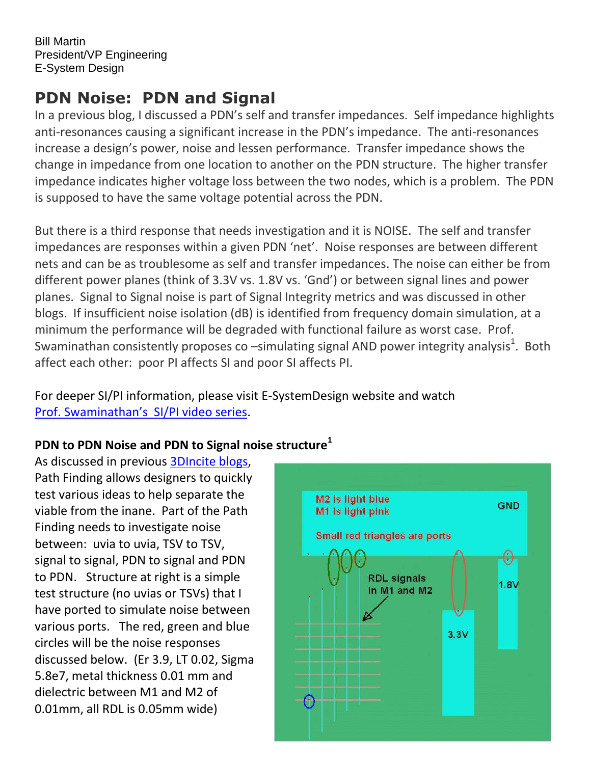Bill Martin President/VP Engineering E-System Design

# **PDN Noise: PDN and Signal**

In a previous blog, I discussed a PDN's self and transfer impedances. Self impedance highlights anti-resonances causing a significant increase in the PDN's impedance. The anti-resonances increase a design's power, noise and lessen performance. Transfer impedance shows the change in impedance from one location to another on the PDN structure. The higher transfer impedance indicates higher voltage loss between the two nodes, which is a problem. The PDN is supposed to have the same voltage potential across the PDN.

But there is a third response that needs investigation and it is NOISE. The self and transfer impedances are responses within a given PDN 'net'. Noise responses are between different nets and can be as troublesome as self and transfer impedances. The noise can either be from different power planes (think of 3.3V vs. 1.8V vs. 'Gnd') or between signal lines and power planes. Signal to Signal noise is part of Signal Integrity metrics and was discussed in other blogs. If insufficient noise isolation (dB) is identified from frequency domain simulation, at a minimum the performance will be degraded with functional failure as worst case. Prof. Swaminathan consistently proposes co –simulating signal AND power integrity analysis<sup>1</sup>. Both affect each other: poor PI affects SI and poor SI affects PI.

For deeper SI/PI information, please visit E-SystemDesign website and watch [Prof. Swaminathan](http://www.e-systemdesign.com/Collateral.html)'s SI/PI video series.

# **PDN to PDN Noise and PDN to Signal noise structure<sup>1</sup>**

As discussed in previous [3DIncite blogs,](http://www.3dincites.com/author/bill-martine-systemdesign-com/) Path Finding allows designers to quickly test various ideas to help separate the viable from the inane. Part of the Path Finding needs to investigate noise between: uvia to uvia, TSV to TSV, signal to signal, PDN to signal and PDN to PDN. Structure at right is a simple test structure (no uvias or TSVs) that I have ported to simulate noise between various ports. The red, green and blue circles will be the noise responses discussed below. (Er 3.9, LT 0.02, Sigma 5.8e7, metal thickness 0.01 mm and dielectric between M1 and M2 of 0.01mm, all RDL is 0.05mm wide)

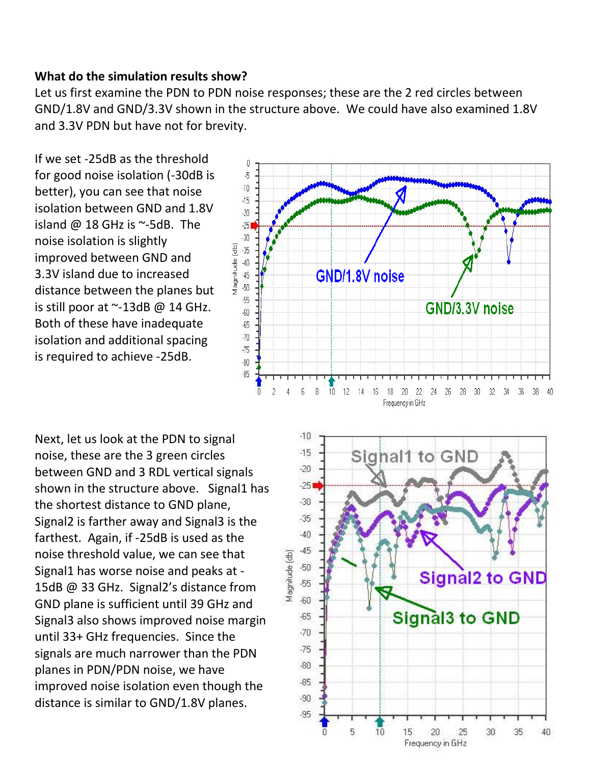#### **What do the simulation results show?**

Let us first examine the PDN to PDN noise responses; these are the 2 red circles between GND/1.8V and GND/3.3V shown in the structure above. We could have also examined 1.8V and 3.3V PDN but have not for brevity.

If we set -25dB as the threshold for good noise isolation (-30dB is better), you can see that noise isolation between GND and 1.8V island  $\omega$  18 GHz is  $\sim$ -5dB. The noise isolation is slightly improved between GND and 3.3V island due to increased distance between the planes but is still poor at  $\sim$ -13dB @ 14 GHz. Both of these have inadequate isolation and additional spacing is required to achieve -25dB.

0  $\sqrt{2}$  $-10$  $-15$  $-20$  $-251$  $-30$  $-35$ Magnitude (db)  $-40$ GND/1.8V noise  $-45$  $-50$  $-55$ GND/3.3V noise  $-60$  $-65$  $-70$  $-75$  $-80$  $-85$ 10 12 14 16 18 20 22 24 26  $\overline{2}$  $\overline{4}$  $6$  $^{\circ}$ 28 30 32 34 - 36 38 40  $\overline{0}$ Frequency in GHz

Next, let us look at the PDN to signal noise, these are the 3 green circles between GND and 3 RDL vertical signals shown in the structure above. Signal1 has the shortest distance to GND plane, Signal2 is farther away and Signal3 is the farthest. Again, if -25dB is used as the noise threshold value, we can see that Signal1 has worse noise and peaks at - 15dB @ 33 GHz. Signal2's distance from GND plane is sufficient until 39 GHz and Signal3 also shows improved noise margin until 33+ GHz frequencies. Since the signals are much narrower than the PDN planes in PDN/PDN noise, we have improved noise isolation even though the distance is similar to GND/1.8V planes.